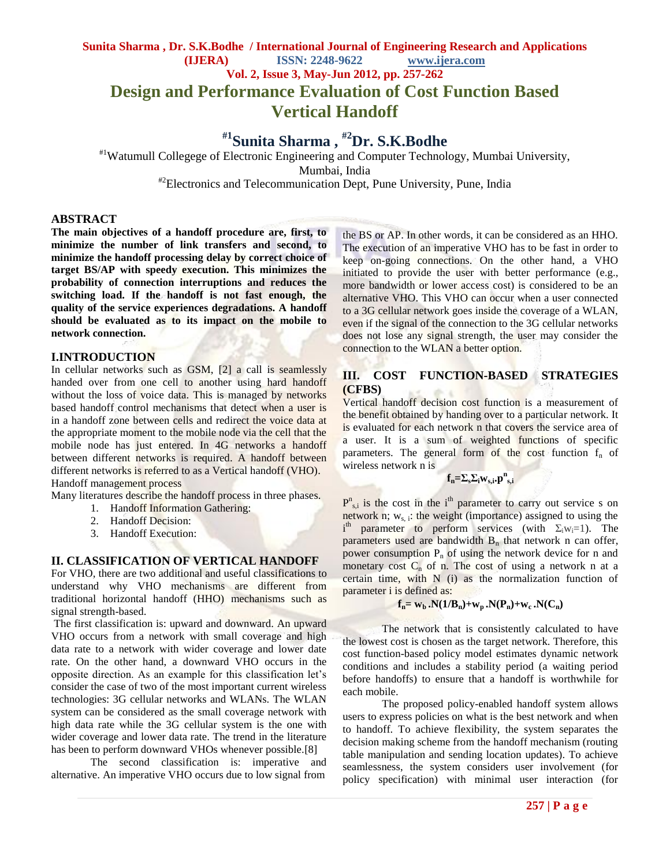### **Sunita Sharma , Dr. S.K.Bodhe / International Journal of Engineering Research and Applications (IJERA) ISSN: 2248-9622 www.ijera.com Vol. 2, Issue 3, May-Jun 2012, pp. 257-262 Design and Performance Evaluation of Cost Function Based**

# **Vertical Handoff**

## **#1 Sunita Sharma , #2Dr. S.K.Bodhe**

#1Watumull Collegege of Electronic Engineering and Computer Technology, Mumbai University, Mumbai, India <sup>#2</sup>Electronics and Telecommunication Dept, Pune University, Pune, India

### **ABSTRACT**

**The main objectives of a handoff procedure are, first, to minimize the number of link transfers and second, to minimize the handoff processing delay by correct choice of target BS/AP with speedy execution. This minimizes the probability of connection interruptions and reduces the switching load. If the handoff is not fast enough, the quality of the service experiences degradations. A handoff should be evaluated as to its impact on the mobile to network connection.**

### **I.INTRODUCTION**

In cellular networks such as GSM, [2] a call is seamlessly handed over from one cell to another using hard handoff without the loss of voice data. This is managed by networks based handoff control mechanisms that detect when a user is in a handoff zone between cells and redirect the voice data at the appropriate moment to the mobile node via the cell that the mobile node has just entered. In 4G networks a handoff between different networks is required. A handoff between different networks is referred to as a Vertical handoff (VHO). Handoff management process

Many literatures describe the handoff process in three phases.

- 1. Handoff Information Gathering:
- 2. Handoff Decision:
- 3. Handoff Execution:

#### **II. CLASSIFICATION OF VERTICAL HANDOFF**

For VHO, there are two additional and useful classifications to understand why VHO mechanisms are different from traditional horizontal handoff (HHO) mechanisms such as signal strength-based.

The first classification is: upward and downward. An upward VHO occurs from a network with small coverage and high data rate to a network with wider coverage and lower date rate. On the other hand, a downward VHO occurs in the opposite direction. As an example for this classification let"s consider the case of two of the most important current wireless technologies: 3G cellular networks and WLANs. The WLAN system can be considered as the small coverage network with high data rate while the 3G cellular system is the one with wider coverage and lower data rate. The trend in the literature has been to perform downward VHOs whenever possible.[8]

The second classification is: imperative and alternative. An imperative VHO occurs due to low signal from

the BS or AP. In other words, it can be considered as an HHO. The execution of an imperative VHO has to be fast in order to keep on-going connections. On the other hand, a VHO initiated to provide the user with better performance (e.g., more bandwidth or lower access cost) is considered to be an alternative VHO. This VHO can occur when a user connected to a 3G cellular network goes inside the coverage of a WLAN, even if the signal of the connection to the 3G cellular networks does not lose any signal strength, the user may consider the connection to the WLAN a better option.

### **III. COST FUNCTION-BASED STRATEGIES (CFBS)**

Vertical handoff decision cost function is a measurement of the benefit obtained by handing over to a particular network. It is evaluated for each network n that covers the service area of a user. It is a sum of weighted functions of specific parameters. The general form of the cost function  $f_n$  of wireless network n is

$$
f_n = \sum_{s} \sum_{i} w_{s,i} \cdot p_{s,i}^n
$$

 $P_{s,i}^{n}$  is the cost in the i<sup>th</sup> parameter to carry out service s on network n;  $w_{s,i}$ : the weight (importance) assigned to using the  $i<sup>th</sup>$  parameter to perform services (with  $\Sigma_i w_i = 1$ ). The parameters used are bandwidth  $B_n$  that network n can offer, power consumption  $P_n$  of using the network device for n and monetary cost  $C_n$  of n. The cost of using a network n at a certain time, with N (i) as the normalization function of parameter i is defined as:

$$
f_n = w_b \cdot N(1/B_n) + w_p \cdot N(P_n) + w_c \cdot N(C_n)
$$

The network that is consistently calculated to have the lowest cost is chosen as the target network. Therefore, this cost function-based policy model estimates dynamic network conditions and includes a stability period (a waiting period before handoffs) to ensure that a handoff is worthwhile for each mobile.

The proposed policy-enabled handoff system allows users to express policies on what is the best network and when to handoff. To achieve flexibility, the system separates the decision making scheme from the handoff mechanism (routing table manipulation and sending location updates). To achieve seamlessness, the system considers user involvement (for policy specification) with minimal user interaction (for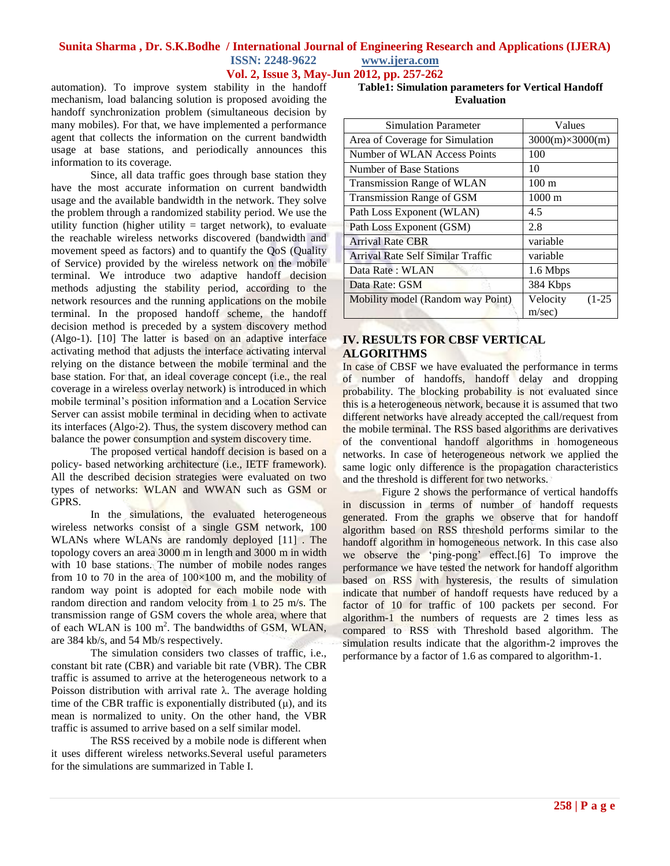### **Sunita Sharma , Dr. S.K.Bodhe / International Journal of Engineering Research and Applications (IJERA) ISSN: 2248-9622 www.ijera.com**

**Vol. 2, Issue 3, May-Jun 2012, pp. 257-262**

automation). To improve system stability in the handoff mechanism, load balancing solution is proposed avoiding the handoff synchronization problem (simultaneous decision by many mobiles). For that, we have implemented a performance agent that collects the information on the current bandwidth usage at base stations, and periodically announces this information to its coverage.

Since, all data traffic goes through base station they have the most accurate information on current bandwidth usage and the available bandwidth in the network. They solve the problem through a randomized stability period. We use the utility function (higher utility  $=$  target network), to evaluate the reachable wireless networks discovered (bandwidth and movement speed as factors) and to quantify the QoS (Quality of Service) provided by the wireless network on the mobile terminal. We introduce two adaptive handoff decision methods adjusting the stability period, according to the network resources and the running applications on the mobile terminal. In the proposed handoff scheme, the handoff decision method is preceded by a system discovery method (Algo-1). [10] The latter is based on an adaptive interface activating method that adjusts the interface activating interval relying on the distance between the mobile terminal and the base station. For that, an ideal coverage concept (i.e., the real coverage in a wireless overlay network) is introduced in which mobile terminal's position information and a Location Service Server can assist mobile terminal in deciding when to activate its interfaces (Algo-2). Thus, the system discovery method can balance the power consumption and system discovery time.

The proposed vertical handoff decision is based on a policy- based networking architecture (i.e., IETF framework). All the described decision strategies were evaluated on two types of networks: WLAN and WWAN such as GSM or GPRS.

In the simulations, the evaluated heterogeneous wireless networks consist of a single GSM network, 100 WLANs where WLANs are randomly deployed [11] . The topology covers an area 3000 m in length and 3000 m in width with 10 base stations. The number of mobile nodes ranges from 10 to 70 in the area of  $100\times100$  m, and the mobility of random way point is adopted for each mobile node with random direction and random velocity from 1 to 25 m/s. The transmission range of GSM covers the whole area, where that of each WLAN is 100 m<sup>2</sup>. The bandwidths of GSM, WLAN, are 384 kb/s, and 54 Mb/s respectively.

The simulation considers two classes of traffic, i.e., constant bit rate (CBR) and variable bit rate (VBR). The CBR traffic is assumed to arrive at the heterogeneous network to a Poisson distribution with arrival rate λ. The average holding time of the CBR traffic is exponentially distributed  $(\mu)$ , and its mean is normalized to unity. On the other hand, the VBR traffic is assumed to arrive based on a self similar model.

The RSS received by a mobile node is different when it uses different wireless networks.Several useful parameters for the simulations are summarized in Table I.

| Table1: Simulation parameters for Vertical Handoff |                   |  |
|----------------------------------------------------|-------------------|--|
|                                                    | <b>Evaluation</b> |  |

| <b>Simulation Parameter</b>       | Values                         |  |  |
|-----------------------------------|--------------------------------|--|--|
| Area of Coverage for Simulation   | $3000(m)\times 3000(m)$        |  |  |
| Number of WLAN Access Points      | 100                            |  |  |
| Number of Base Stations           | 10                             |  |  |
| <b>Transmission Range of WLAN</b> | $100 \text{ m}$                |  |  |
| Transmission Range of GSM         | $1000 \text{ m}$               |  |  |
| Path Loss Exponent (WLAN)         | 4.5                            |  |  |
| Path Loss Exponent (GSM)          | 2.8                            |  |  |
| <b>Arrival Rate CBR</b>           | variable                       |  |  |
| Arrival Rate Self Similar Traffic | variable                       |  |  |
| Data Rate: WLAN                   | 1.6 Mbps                       |  |  |
| Data Rate: GSM                    | 384 Kbps                       |  |  |
| Mobility model (Random way Point) | Velocity<br>$(1-25)$<br>m/sec) |  |  |

### **IV. RESULTS FOR CBSF VERTICAL ALGORITHMS**

In case of CBSF we have evaluated the performance in terms of number of handoffs, handoff delay and dropping probability. The blocking probability is not evaluated since this is a heterogeneous network, because it is assumed that two different networks have already accepted the call/request from the mobile terminal. The RSS based algorithms are derivatives of the conventional handoff algorithms in homogeneous networks. In case of heterogeneous network we applied the same logic only difference is the propagation characteristics and the threshold is different for two networks.

Figure 2 shows the performance of vertical handoffs in discussion in terms of number of handoff requests generated. From the graphs we observe that for handoff algorithm based on RSS threshold performs similar to the handoff algorithm in homogeneous network. In this case also we observe the "ping-pong" effect.[6] To improve the performance we have tested the network for handoff algorithm based on RSS with hysteresis, the results of simulation indicate that number of handoff requests have reduced by a factor of 10 for traffic of 100 packets per second. For algorithm-1 the numbers of requests are 2 times less as compared to RSS with Threshold based algorithm. The simulation results indicate that the algorithm-2 improves the performance by a factor of 1.6 as compared to algorithm-1.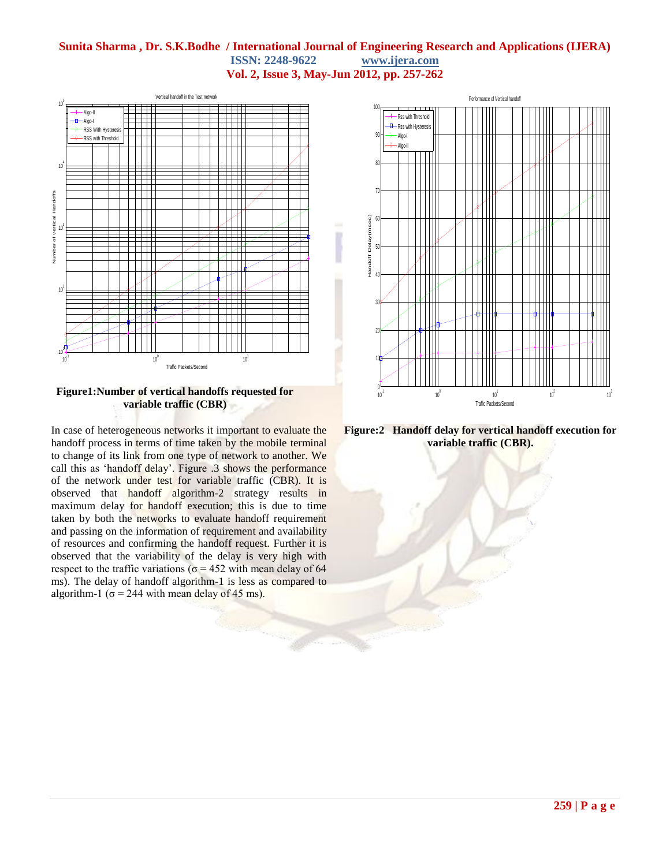### **Sunita Sharma , Dr. S.K.Bodhe / International Journal of Engineering Research and Applications (IJERA) ISSN: 2248-9622 www.ijera.com Vol. 2, Issue 3, May-Jun 2012, pp. 257-262**



**Figure1:Number of vertical handoffs requested for variable traffic (CBR)**

In case of heterogeneous networks it important to evaluate the handoff process in terms of time taken by the mobile terminal to change of its link from one type of network to another. We call this as "handoff delay". Figure .3 shows the performance of the network under test for variable traffic (CBR). It is observed that handoff algorithm-2 strategy results in maximum delay for handoff execution; this is due to time taken by both the networks to evaluate handoff requirement and passing on the information of requirement and availability of resources and confirming the handoff request. Further it is observed that the variability of the delay is very high with respect to the traffic variations ( $\sigma$  = 452 with mean delay of 64 ms). The delay of handoff algorithm-1 is less as compared to algorithm-1 ( $\sigma$  = 244 with mean delay of 45 ms).



**Figure:2 Handoff delay for vertical handoff execution for variable traffic (CBR).**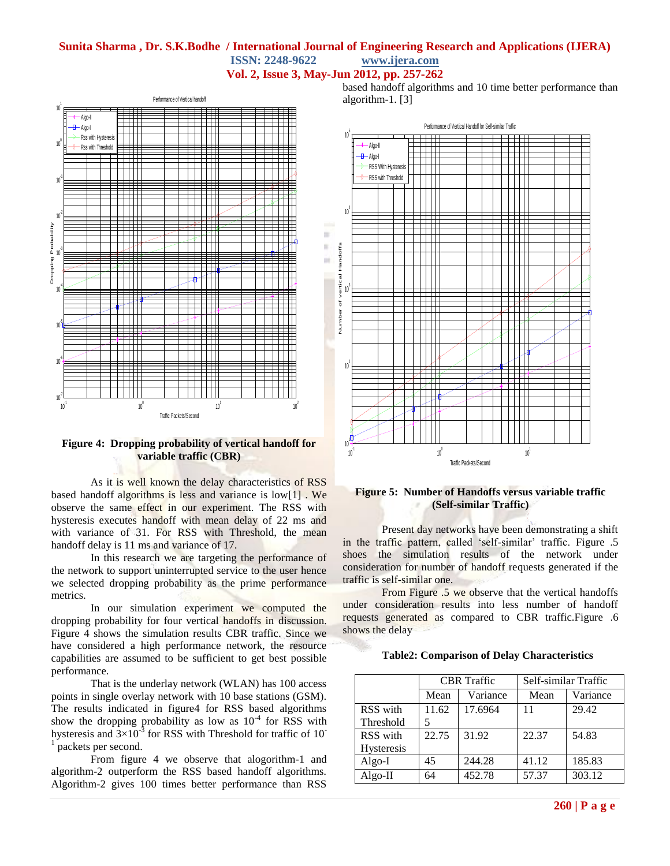### **Sunita Sharma , Dr. S.K.Bodhe / International Journal of Engineering Research and Applications (IJERA) ISSN: 2248-9622 www.ijera.com**





### **Figure 4: Dropping probability of vertical handoff for variable traffic (CBR)**

As it is well known the delay characteristics of RSS based handoff algorithms is less and variance is low[1] . We observe the same effect in our experiment. The RSS with hysteresis executes handoff with mean delay of 22 ms and with variance of 31. For RSS with Threshold, the mean handoff delay is 11 ms and variance of 17.

In this research we are targeting the performance of the network to support uninterrupted service to the user hence we selected dropping probability as the prime performance metrics.

In our simulation experiment we computed the dropping probability for four vertical handoffs in discussion. Figure 4 shows the simulation results CBR traffic. Since we have considered a high performance network, the resource capabilities are assumed to be sufficient to get best possible performance.

That is the underlay network (WLAN) has 100 access points in single overlay network with 10 base stations (GSM). The results indicated in figure4 for RSS based algorithms show the dropping probability as low as  $10^{-4}$  for RSS with hysteresis and  $3\times10^{-3}$  for RSS with Threshold for traffic of 10<sup>-1</sup> neckets nor second packets per second.

From figure 4 we observe that alogorithm-1 and algorithm-2 outperform the RSS based handoff algorithms. Algorithm-2 gives 100 times better performance than RSS based handoff algorithms and 10 time better performance than algorithm-1. [3]



#### **Figure 5: Number of Handoffs versus variable traffic (Self-similar Traffic)**

Present day networks have been demonstrating a shift in the traffic pattern, called 'self-similar' traffic. Figure .5 shoes the simulation results of the network under consideration for number of handoff requests generated if the traffic is self-similar one.

From Figure .5 we observe that the vertical handoffs under consideration results into less number of handoff requests generated as compared to CBR traffic.Figure .6 shows the delay

### **Table2: Comparison of Delay Characteristics**

|                   | <b>CBR</b> Traffic |          | Self-similar Traffic |          |
|-------------------|--------------------|----------|----------------------|----------|
|                   | Mean               | Variance | Mean                 | Variance |
| RSS with          | 11.62              | 17.6964  | 11                   | 29.42    |
| Threshold         | 5                  |          |                      |          |
| RSS with          | 22.75              | 31.92    | 22.37                | 54.83    |
| <b>Hysteresis</b> |                    |          |                      |          |
| Algo-I            | 45                 | 244.28   | 41.12                | 185.83   |
| $Algo-II$         | 64                 | 452.78   | 57.37                | 303.12   |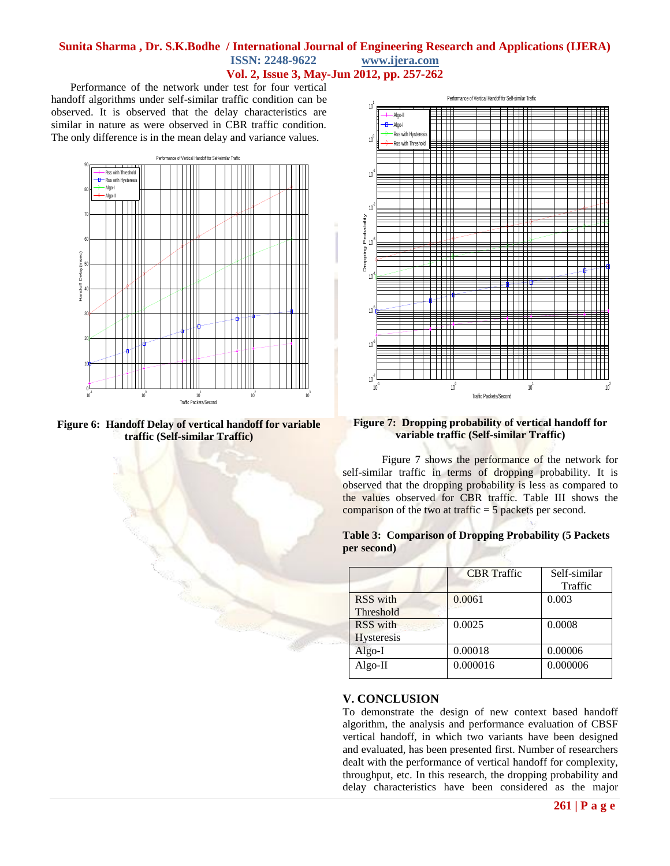### **Sunita Sharma , Dr. S.K.Bodhe / International Journal of Engineering Research and Applications (IJERA) ISSN: 2248-9622 www.ijera.com Vol. 2, Issue 3, May-Jun 2012, pp. 257-262**

 Performance of the network under test for four vertical handoff algorithms under self-similar traffic condition can be observed. It is observed that the delay characteristics are similar in nature as were observed in CBR traffic condition. The only difference is in the mean delay and variance values.







#### **Figure 7: Dropping probability of vertical handoff for variable traffic (Self-similar Traffic)**

Figure 7 shows the performance of the network for self-similar traffic in terms of dropping probability. It is observed that the dropping probability is less as compared to the values observed for CBR traffic. Table III shows the comparison of the two at traffic  $= 5$  packets per second.

**Table 3: Comparison of Dropping Probability (5 Packets per second)**

|                               | <b>CBR</b> Traffic | Self-similar<br>Traffic |
|-------------------------------|--------------------|-------------------------|
| RSS with<br>Threshold         | 0.0061             | 0.003                   |
| RSS with<br><b>Hysteresis</b> | 0.0025             | 0.0008                  |
| Algo-I                        | 0.00018            | 0.00006                 |
| $Algo-II$                     | 0.000016           | 0.000006                |

### **V. CONCLUSION**

To demonstrate the design of new context based handoff algorithm, the analysis and performance evaluation of CBSF vertical handoff, in which two variants have been designed and evaluated, has been presented first. Number of researchers dealt with the performance of vertical handoff for complexity, throughput, etc. In this research, the dropping probability and delay characteristics have been considered as the major